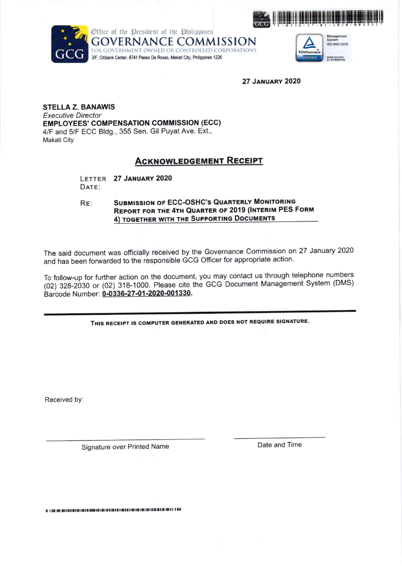



**GOVERNANCE COMMISSION** FOR GOVERNMENT OWNED OR CONTROLLED CORPORATIONS 3/F, Citibank Center, 8741 Paseo De Roxas, Makati City, Philippines 1226



**27 JANUARY 2020** 

**STELLA Z. BANAWIS Executive Director EMPLOYEES' COMPENSATION COMMISSION (ECC)** 4/F and 5/F ECC Bldg., 355 Sen. Gil Puyat Ave. Ext., **Makati City** 

## **ACKNOWLEDGEMENT RECEIPT**

LETTER 27 JANUARY 2020 DATE:

**SUBMISSION OF ECC-OSHC'S QUARTERLY MONITORING** RE: **REPORT FOR THE 4TH QUARTER OF 2019 (INTERIM PES FORM** 4) TOGETHER WITH THE SUPPORTING DOCUMENTS

The said document was officially received by the Governance Commission on 27 January 2020 and has been forwarded to the responsible GCG Officer for appropriate action.

To follow-up for further action on the document, you may contact us through telephone numbers (02) 328-2030 or (02) 318-1000. Please cite the GCG Document Management System (DMS) Barcode Number: 0-0336-27-01-2020-001330.

THIS RECEIPT IS COMPUTER GENERATED AND DOES NOT REQUIRE SIGNATURE.

Received by:

Signature over Printed Name

Date and Time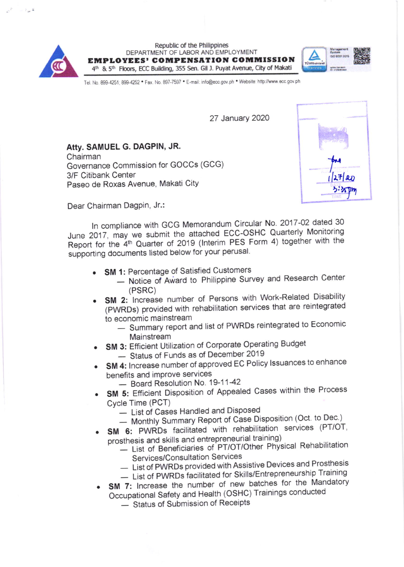

Republic of the Philippines DEPARTMENT OF LABOR AND EMPLOYMENT **EMPLOYEES' COMPENSATION COMMISSION** 4th & 5th Floors, ECC Building, 355 Sen. Gil J. Puyat Avenue, City of Makati



Tel. No. 899-4251; 899-4252 · Fax. No. 897-7597 · E-mail: info@ecc.gov.ph · Website: http://www.ecc.gov.ph

27 January 2020

Atty. SAMUEL G. DAGPIN, JR. Chairman Governance Commission for GOCCs (GCG) 3/F Citibank Center Paseo de Roxas Avenue, Makati City



Dear Chairman Dagpin, Jr.:

In compliance with GCG Memorandum Circular No. 2017-02 dated 30 June 2017, may we submit the attached ECC-OSHC Quarterly Monitoring Report for the 4<sup>th</sup> Quarter of 2019 (Interim PES Form 4) together with the supporting documents listed below for your perusal.

- SM 1: Percentage of Satisfied Customers
	- Notice of Award to Philippine Survey and Research Center  $(PSRC)$
- SM 2: Increase number of Persons with Work-Related Disability (PWRDs) provided with rehabilitation services that are reintegrated to economic mainstream
	- Summary report and list of PWRDs reintegrated to Economic Mainstream
- SM 3: Efficient Utilization of Corporate Operating Budget
	- Status of Funds as of December 2019
- SM 4: Increase number of approved EC Policy Issuances to enhance benefits and improve services
	- Board Resolution No. 19-11-42
- SM 5: Efficient Disposition of Appealed Cases within the Process Cycle Time (PCT)
	- List of Cases Handled and Disposed
	- Monthly Summary Report of Case Disposition (Oct. to Dec.)
- SM 6: PWRDs facilitated with rehabilitation services (PT/OT, prosthesis and skills and entrepreneurial training)
	- List of Beneficiaries of PT/OT/Other Physical Rehabilitation Services/Consultation Services
	- List of PWRDs provided with Assistive Devices and Prosthesis
	- List of PWRDs facilitated for Skills/Entrepreneurship Training
- SM 7: Increase the number of new batches for the Mandatory Occupational Safety and Health (OSHC) Trainings conducted
	- Status of Submission of Receipts